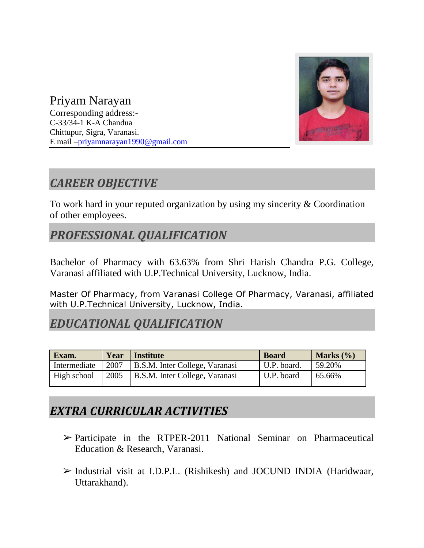

Priyam Narayan Corresponding address:-

C-33/34-1 K-A Chandua Chittupur, Sigra, Varanasi. E mail –priyamnarayan1990@gmail.com

## *CAREER OBJECTIVE*

To work hard in your reputed organization by using my sincerity & Coordination of other employees.

### *PROFESSIONAL QUALIFICATION*

Bachelor of Pharmacy with 63.63% from Shri Harish Chandra P.G. College, Varanasi affiliated with U.P.Technical University, Lucknow, India.

Master Of Pharmacy, from Varanasi College Of Pharmacy, Varanasi, affiliated with U.P.Technical University, Lucknow, India.

#### *EDUCATIONAL QUALIFICATION*

| Exam.        | Year | Institute                           | <b>Board</b> | Marks $(\% )$ |
|--------------|------|-------------------------------------|--------------|---------------|
| Intermediate | 2007 | B.S.M. Inter College, Varanasi      | U.P. board.  | 59.20%        |
| High school  |      | 2005 B.S.M. Inter College, Varanasi | U.P. board   | 65.66%        |

#### *EXTRA CURRICULAR ACTIVITIES*

- $\triangleright$  Participate in the RTPER-2011 National Seminar on Pharmaceutical Education & Research, Varanasi.
- ➢ Industrial visit at I.D.P.L. (Rishikesh) and JOCUND INDIA (Haridwaar, Uttarakhand).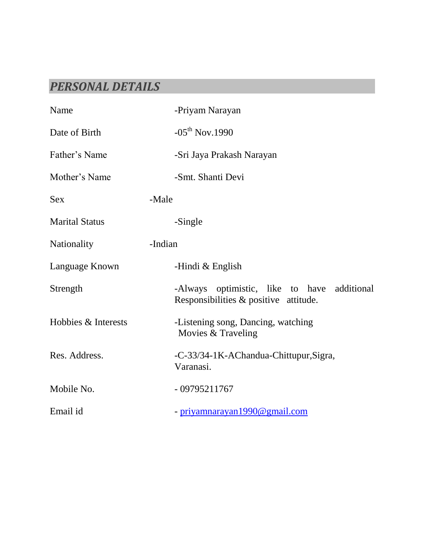## *PERSONAL DETAILS*

| Name                  | -Priyam Narayan                                                                      |
|-----------------------|--------------------------------------------------------------------------------------|
| Date of Birth         | $-05^{th}$ Nov.1990                                                                  |
| Father's Name         | -Sri Jaya Prakash Narayan                                                            |
| Mother's Name         | -Smt. Shanti Devi                                                                    |
| <b>Sex</b>            | -Male                                                                                |
| <b>Marital Status</b> | -Single                                                                              |
| Nationality           | -Indian                                                                              |
| Language Known        | -Hindi $&$ English                                                                   |
| Strength              | -Always optimistic, like to have additional<br>Responsibilities & positive attitude. |
| Hobbies & Interests   | -Listening song, Dancing, watching<br>Movies & Traveling                             |
| Res. Address.         | -C-33/34-1K-AChandua-Chittupur, Sigra,<br>Varanasi.                                  |
| Mobile No.            | $-09795211767$                                                                       |
| Email id              | - priyamnarayan1990@gmail.com                                                        |